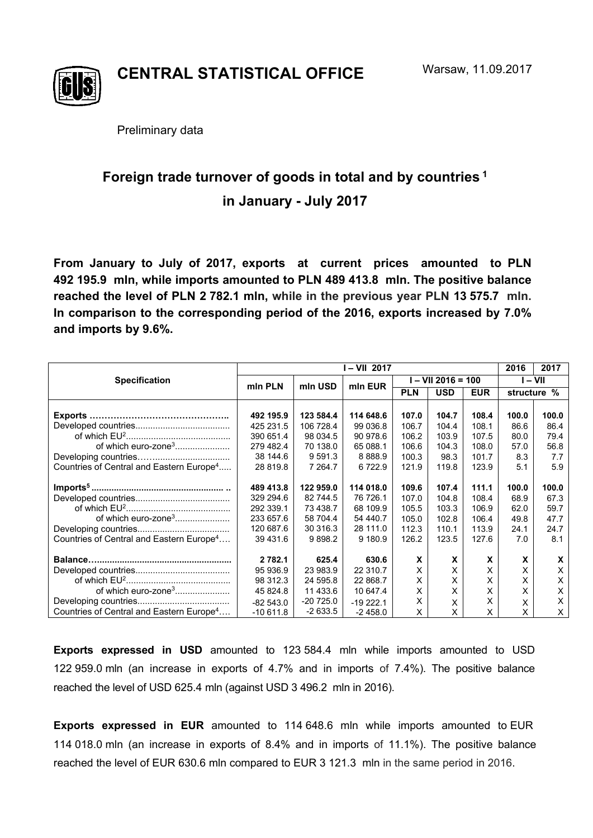

**CENTRAL STATISTICAL OFFICE** 

Preliminary data

## **Foreign trade turnover of goods in total and by countries 1 in January - July 2017**

**From January to July of 2017, exports at current prices amounted to PLN 492 195.9 mln, while imports amounted to PLN 489 413.8 mln. The positive balance reached the level of PLN 2 782.1 mln, while in the previous year PLN 13 575.7 mln. In comparison to the corresponding period of the 2016, exports increased by 7.0% and imports by 9.6%.** 

|                                                      | I – VII 2017 |             |            |                    |            |            | 2016        | 2017  |
|------------------------------------------------------|--------------|-------------|------------|--------------------|------------|------------|-------------|-------|
| <b>Specification</b>                                 | min PLN      | min USD     | min EUR    | I – VII 2016 = 100 |            |            | I – VII     |       |
|                                                      |              |             |            | <b>PLN</b>         | <b>USD</b> | <b>EUR</b> | structure % |       |
|                                                      |              |             |            |                    |            |            |             |       |
| Exports                                              | 492 195.9    | 123 584.4   | 114 648.6  | 107.0              | 104.7      | 108.4      | 100.0       | 100.0 |
|                                                      | 425 231.5    | 106 728.4   | 99 036.8   | 106.7              | 104.4      | 108.1      | 86.6        | 86.4  |
|                                                      | 390 651.4    | 98 034.5    | 90 978.6   | 106.2              | 103.9      | 107.5      | 80.0        | 79.4  |
| of which euro-zone <sup>3</sup>                      | 279 482.4    | 70 138.0    | 65 088.1   | 106.6              | 104.3      | 108.0      | 57.0        | 56.8  |
|                                                      | 38 144.6     | 9 5 9 1 . 3 | 8 8 8 8 9  | 100.3              | 98.3       | 101.7      | 8.3         | 7.7   |
| Countries of Central and Eastern Europe <sup>4</sup> | 28 819.8     | 7 264.7     | 6722.9     | 121.9              | 119.8      | 123.9      | 5.1         | 5.9   |
|                                                      | 489 413.8    | 122 959.0   | 114 018.0  | 109.6              | 107.4      | 111.1      | 100.0       | 100.0 |
|                                                      | 329 294.6    | 82 744.5    | 76 726.1   | 107.0              | 104.8      | 108.4      | 68.9        | 67.3  |
|                                                      | 292 339.1    | 73 438.7    | 68 109.9   | 105.5              | 103.3      | 106.9      | 62.0        | 59.7  |
| of which euro-zone <sup>3</sup>                      | 233 657.6    | 58 704.4    | 54 440.7   | 105.0              | 102.8      | 106.4      | 49.8        | 47.7  |
|                                                      | 120 687.6    | 30 316.3    | 28 111.0   | 112.3              | 110.1      | 113.9      | 24.1        | 24.7  |
| Countries of Central and Eastern Europe <sup>4</sup> | 39 431.6     | 9898.2      | 9 180.9    | 126.2              | 123.5      | 127.6      | 7.0         | 8.1   |
|                                                      | 2 7 8 2 . 1  | 625.4       | 630.6      | X                  | X          | X          | X           | X     |
|                                                      | 95 936.9     | 23 983.9    | 22 310.7   | X                  | X          | X          | x           | X     |
|                                                      | 98 312.3     | 24 595.8    | 22 868.7   | X                  | X          | Χ          | X           | X     |
| of which euro-zone <sup>3</sup>                      | 45 824.8     | 11 433.6    | 10 647.4   | X                  | X          | x          | x           | X     |
|                                                      | $-82543.0$   | $-20725.0$  | $-19222.1$ | X                  | X          | x          | X           | X     |
| Countries of Central and Eastern Europe <sup>4</sup> | $-10611.8$   | $-2633.5$   | $-2458.0$  | X                  | X          | X          | X           | X     |

**Exports expressed in USD** amounted to 123 584.4 mln while imports amounted to USD 122 959.0 mln (an increase in exports of 4.7% and in imports of 7.4%). The positive balance reached the level of USD 625.4 mln (against USD 3 496.2 mln in 2016).

**Exports expressed in EUR** amounted to 114 648.6 mln while imports amounted to EUR 114 018.0 mln (an increase in exports of 8.4% and in imports of 11.1%). The positive balance reached the level of EUR 630.6 mln compared to EUR 3 121.3 mln in the same period in 2016.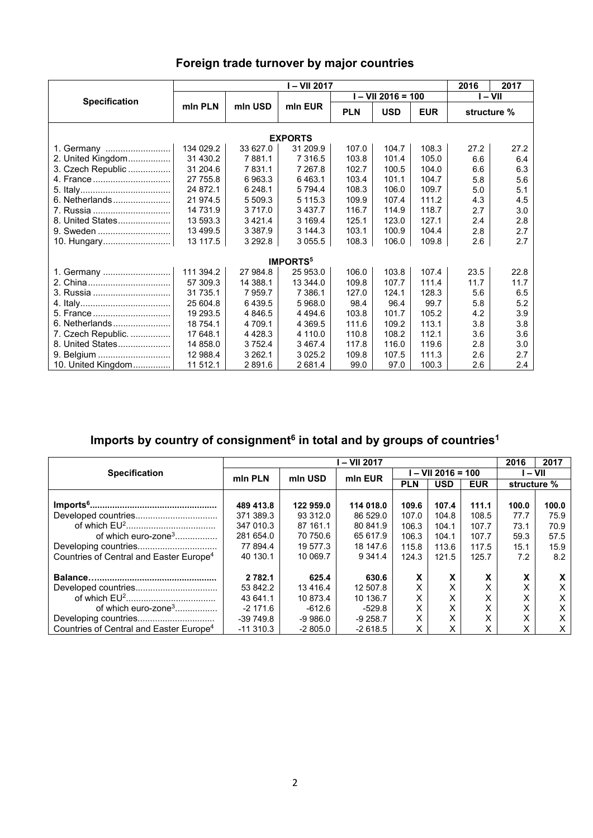| Foreign trade turnover by major countries |  |  |
|-------------------------------------------|--|--|
|-------------------------------------------|--|--|

|                            | l – VII 2017 |             |             |            |                      |            | 2016        | 2017 |  |  |
|----------------------------|--------------|-------------|-------------|------------|----------------------|------------|-------------|------|--|--|
| <b>Specification</b>       |              | mln USD     |             |            | $I - VII 2016 = 100$ | $I - VI$   |             |      |  |  |
|                            | mln PLN      |             | mln EUR     | <b>PLN</b> | <b>USD</b>           | <b>EUR</b> | structure % |      |  |  |
| <b>EXPORTS</b>             |              |             |             |            |                      |            |             |      |  |  |
| 1. Germany                 | 134 029.2    | 33 627.0    | 31 209.9    | 107.0      | 104.7                | 108.3      | 27.2        | 27.2 |  |  |
| 2. United Kingdom          | 31 430.2     | 7881.1      | 7 3 1 6.5   | 103.8      | 101.4                | 105.0      | 6.6         | 6.4  |  |  |
| 3. Czech Republic          | 31 204.6     | 7831.1      | 7 267.8     | 102.7      | 100.5                | 104.0      | 6.6         | 6.3  |  |  |
| 4. France                  | 27 755.8     | 6963.3      | 6463.1      | 103.4      | 101.1                | 104.7      | 5.8         | 5.6  |  |  |
|                            | 24 872.1     | 6 248.1     | 5 7 9 4.4   | 108.3      | 106.0                | 109.7      | 5.0         | 5.1  |  |  |
| 6. Netherlands             | 21 974.5     | 5 509.3     | 5 1 1 5 . 3 | 109.9      | 107.4                | 111.2      | 4.3         | 4.5  |  |  |
| 7. Russia                  | 14 731.9     | 3717.0      | 3 4 3 7 . 7 | 116.7      | 114.9                | 118.7      | 2.7         | 3.0  |  |  |
| 8. United States           | 13 593.3     | 3 4 2 1 . 4 | 3 169.4     | 125.1      | 123.0                | 127.1      | 2.4         | 2.8  |  |  |
|                            | 13 499.5     | 3 3 8 7 .9  | 3 144.3     | 103.1      | 100.9                | 104.4      | 2.8         | 2.7  |  |  |
| 10. Hungary                | 13 117.5     | 3 2 9 2.8   | 3 0 5 5.5   | 108.3      | 106.0                | 109.8      | 2.6         | 2.7  |  |  |
| <b>IMPORTS<sup>5</sup></b> |              |             |             |            |                      |            |             |      |  |  |
| 1. Germany                 | 111 394.2    | 27 984.8    | 25 953.0    | 106.0      | 103.8                | 107.4      | 23.5        | 22.8 |  |  |
|                            | 57 309.3     | 14 388.1    | 13 344.0    | 109.8      | 107.7                | 111.4      | 11.7        | 11.7 |  |  |
|                            | 31 735.1     | 7959.7      | 7 386.1     | 127.0      | 124.1                | 128.3      | 5.6         | 6.5  |  |  |
|                            | 25 604.8     | 6439.5      | 5 968.0     | 98.4       | 96.4                 | 99.7       | 5.8         | 5.2  |  |  |
| 5. France                  | 19 293.5     | 4 846.5     | 4 4 9 4 .6  | 103.8      | 101.7                | 105.2      | 4.2         | 3.9  |  |  |
| 6. Netherlands             | 18 754.1     | 4 709.1     | 4 3 6 9.5   | 111.6      | 109.2                | 113.1      | 3.8         | 3.8  |  |  |
| 7. Czech Republic.         | 17 648.1     | 4 4 28.3    | 4 110.0     | 110.8      | 108.2                | 112.1      | 3.6         | 3.6  |  |  |
| 8. United States           | 14 858.0     | 3 7 5 2.4   | 3467.4      | 117.8      | 116.0                | 119.6      | 2.8         | 3.0  |  |  |
| 9. Belgium                 | 12 988.4     | 3 2 6 2 . 1 | 3 0 2 5 . 2 | 109.8      | 107.5                | 111.3      | 2.6         | 2.7  |  |  |
| 10. United Kingdom         | 11 512.1     | 2891.6      | 2 681.4     | 99.0       | 97.0                 | 100.3      | 2.6         | 2.4  |  |  |

## Imports by country of consignment<sup>6</sup> in total and by groups of countries<sup>1</sup>

|                                                     |             | 2016      | 2017       |                    |            |            |             |       |
|-----------------------------------------------------|-------------|-----------|------------|--------------------|------------|------------|-------------|-------|
| <b>Specification</b>                                | min PLN     | mln USD   | min EUR    | l – VII 2016 = 100 |            |            | I – VII     |       |
|                                                     |             |           |            | <b>PLN</b>         | <b>USD</b> | <b>EUR</b> | structure % |       |
|                                                     |             |           |            |                    |            |            |             |       |
|                                                     | 489 413.8   | 122 959.0 | 114 018.0  | 109.6              | 107.4      | 111.1      | 100.0       | 100.0 |
| Developed countries                                 | 371 389.3   | 93 312.0  | 86 529.0   | 107.0              | 104.8      | 108.5      | 77.7        | 75.9  |
|                                                     | 347 010.3   | 87 161.1  | 80 841.9   | 106.3              | 104.1      | 107.7      | 73.1        | 70.9  |
| of which euro-zone <sup>3</sup>                     | 281 654.0   | 70 750.6  | 65 617.9   | 106.3              | 104.1      | 107.7      | 59.3        | 57.5  |
|                                                     | 77 894.4    | 19 577.3  | 18 147.6   | 115.8              | 113.6      | 117.5      | 15.1        | 15.9  |
| Countries of Central and Easter Europe <sup>4</sup> | 40 130.1    | 10 069.7  | 9 3 4 1 .4 | 124.3              | 121.5      | 125.7      | 7.2         | 8.2   |
|                                                     | 2 7 8 2 . 1 | 625.4     | 630.6      | X                  | X          | X          | X           | X     |
|                                                     | 53 842.2    | 13416.4   | 12 507.8   |                    | X          |            | X           | Х     |
|                                                     | 43 641.1    | 10 873.4  | 10 136.7   | Χ                  | X          | Χ          | X           | X     |
| of which euro-zone <sup>3</sup>                     | $-2,171.6$  | $-612.6$  | $-529.8$   | X                  | X          | x          | х           | X     |
|                                                     | $-39749.8$  | -9 986.0  | $-9258.7$  | x                  | X          | Χ          | x           | x     |
| Countries of Central and Easter Europe <sup>4</sup> | $-11310.3$  | $-2805.0$ | $-2618.5$  |                    | X          | x          | x           | X     |